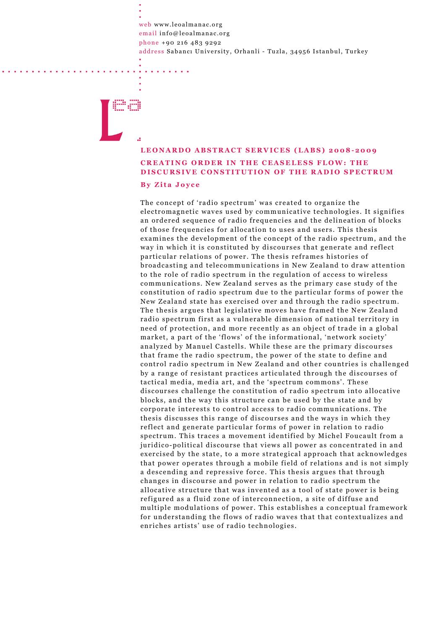web www.leoalmanac.org email info@leoalmanac.org phone +90 216 483 9292 address Sabancı University, Orhanli - Tuzla, 34956 Istanbul, Turkey

## LEONARDO ABSTRACT SERVICES (LABS) 2008-2009 CREATING ORDER IN THE CEASELESS FLOW: THE DISCURSIVE CONSTITUTION OF THE RADIO SPECTRUM By Zita Joyce

The concept of 'radio spectrum' was created to organize the electromagnetic waves used by communicative technologies. It signifies an ordered sequence of radio frequencies and the delineation of blocks of those frequencies for allocation to uses and users. This thesis examines the development of the concept of the radio spectrum, and the way in which it is constituted by discourses that generate and reflect particular relations of power. The thesis reframes histories of broadcasting and telecommunications in New Zealand to draw attention to the role of radio spectrum in the regulation of access to wireless communications. New Zealand serves as the primary case study of the constitution of radio spectrum due to the particular forms of power the New Zealand state has exercised over and through the radio spectrum. The thesis argues that legislative moves have framed the New Zealand radio spectrum first as a vulnerable dimension of national territory in need of protection, and more recently as an object of trade in a global market, a part of the 'flows' of the informational, 'network society' analyzed by Manuel Castells. While these are the primary discourses that frame the radio spectrum, the power of the state to define and control radio spectrum in New Zealand and other countries is challenged by a range of resistant practices articulated through the discourses of tactical media, media art, and the 'spectrum commons'. These discourses challenge the constitution of radio spectrum into allocative blocks, and the way this structure can be used by the state and by corporate interests to control access to radio communications. The thesis discusses this range of discourses and the ways in which they reflect and generate particular forms of power in relation to radio spectrum. This traces a movement identified by Michel Foucault from a juridico-political discourse that views all power as concentrated in and exercised by the state, to a more strategical approach that acknowledges that power operates through a mobile field of relations and is not simply a descending and repressive force. This thesis argues that through changes in discourse and power in relation to radio spectrum the allocative structure that was invented as a tool of state power is being refigured as a fluid zone of interconnection, a site of diffuse and multiple modulations of power. This establishes a conceptual framework for understanding the flows of radio waves that that contextualizes and enriches artists' use of radio technologies.